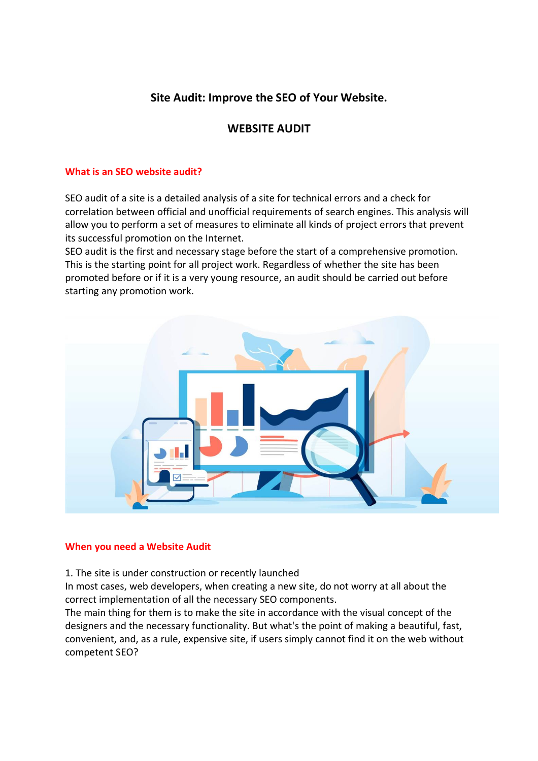# **Site Audit: Improve the SEO of Your Website.**

## **WEBSITE AUDIT**

#### **What is an SEO website audit?**

SEO audit of a site is a detailed analysis of a site for technical errors and a check for correlation between official and unofficial requirements of search engines. This analysis will allow you to perform a set of measures to eliminate all kinds of project errors that prevent its successful promotion on the Internet.

SEO audit is the first and necessary stage before the start of a comprehensive promotion. This is the starting point for all project work. Regardless of whether the site has been promoted before or if it is a very young resource, an audit should be carried out before starting any promotion work.



#### **When you need a Website Audit**

1. The site is under construction or recently launched

In most cases, web developers, when creating a new site, do not worry at all about the correct implementation of all the necessary SEO components.

The main thing for them is to make the site in accordance with the visual concept of the designers and the necessary functionality. But what's the point of making a beautiful, fast, convenient, and, as a rule, expensive site, if users simply cannot find it on the web without competent SEO?